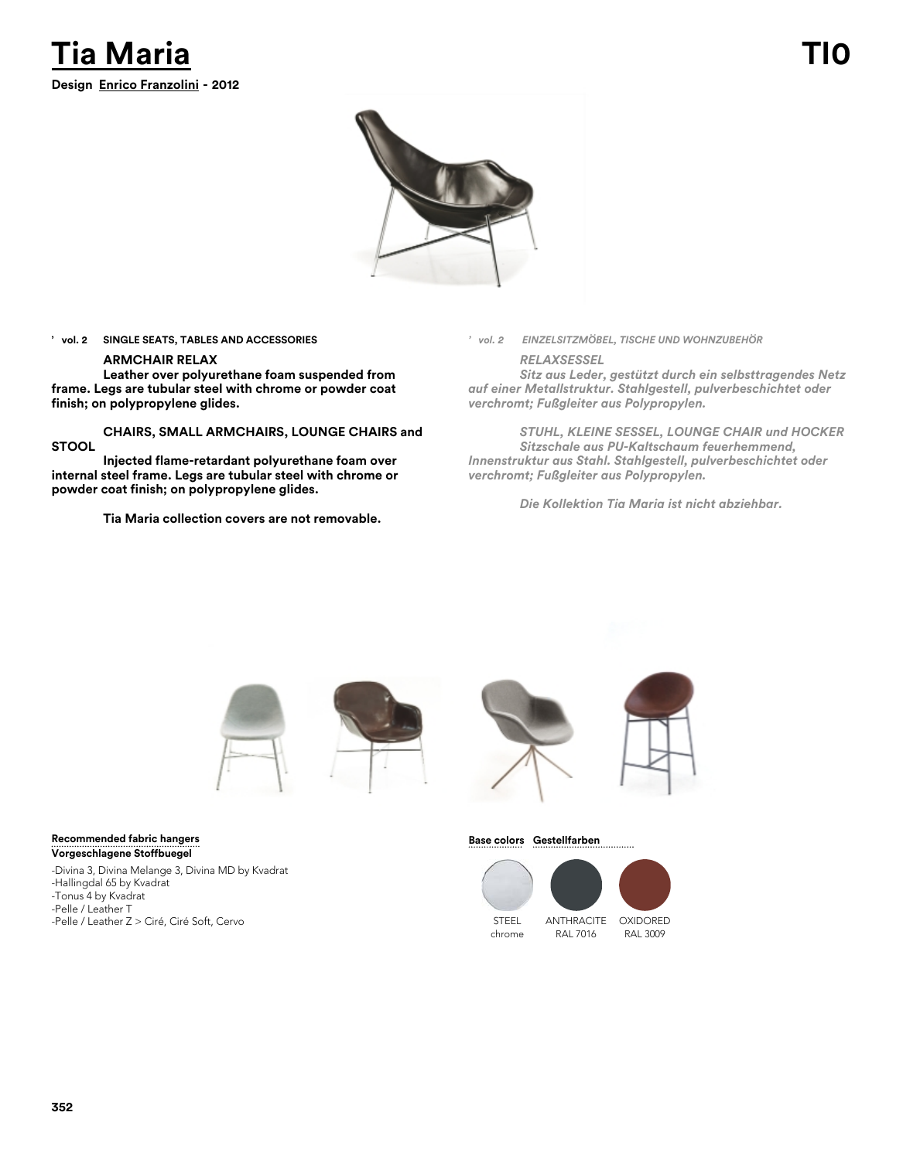



**' vol. 2 SINGLE SEATS, TABLES AND ACCESSORIES**

### **ARMCHAIR RELAX**

**Leather over polyurethane foam suspended from frame. Legs are tubular steel with chrome or powder coat finish; on polypropylene glides.**

**CHAIRS, SMALL ARMCHAIRS, LOUNGE CHAIRS and STOOL**

**Injected flame-retardant polyurethane foam over internal steel frame. Legs are tubular steel with chrome or powder coat finish; on polypropylene glides.**

**Tia Maria collection covers are not removable.**

*' vol. 2 EINZELSITZMÖBEL, TISCHE UND WOHNZUBEHÖR*

*RELAXSESSEL*

*Sitz aus Leder, gestützt durch ein selbsttragendes Netz auf einer Metallstruktur. Stahlgestell, pulverbeschichtet oder verchromt; Fußgleiter aus Polypropylen.*

*STUHL, KLEINE SESSEL, LOUNGE CHAIR und HOCKER Sitzschale aus PU-Kaltschaum feuerhemmend, Innenstruktur aus Stahl. Stahlgestell, pulverbeschichtet oder verchromt; Fußgleiter aus Polypropylen.*

*Die Kollektion Tia Maria ist nicht abziehbar.*







## **Base colors Gestellfarben**





RAL 7016

RAL 3009

## **Recommended fabric hangers Vorgeschlagene Stoffbuegel**

-Divina 3, Divina Melange 3, Divina MD by Kvadrat -Hallingdal 65 by Kvadrat -Tonus 4 by Kvadrat -Pelle / Leather T -Pelle / Leather Z > Ciré, Ciré Soft, Cervo STEEL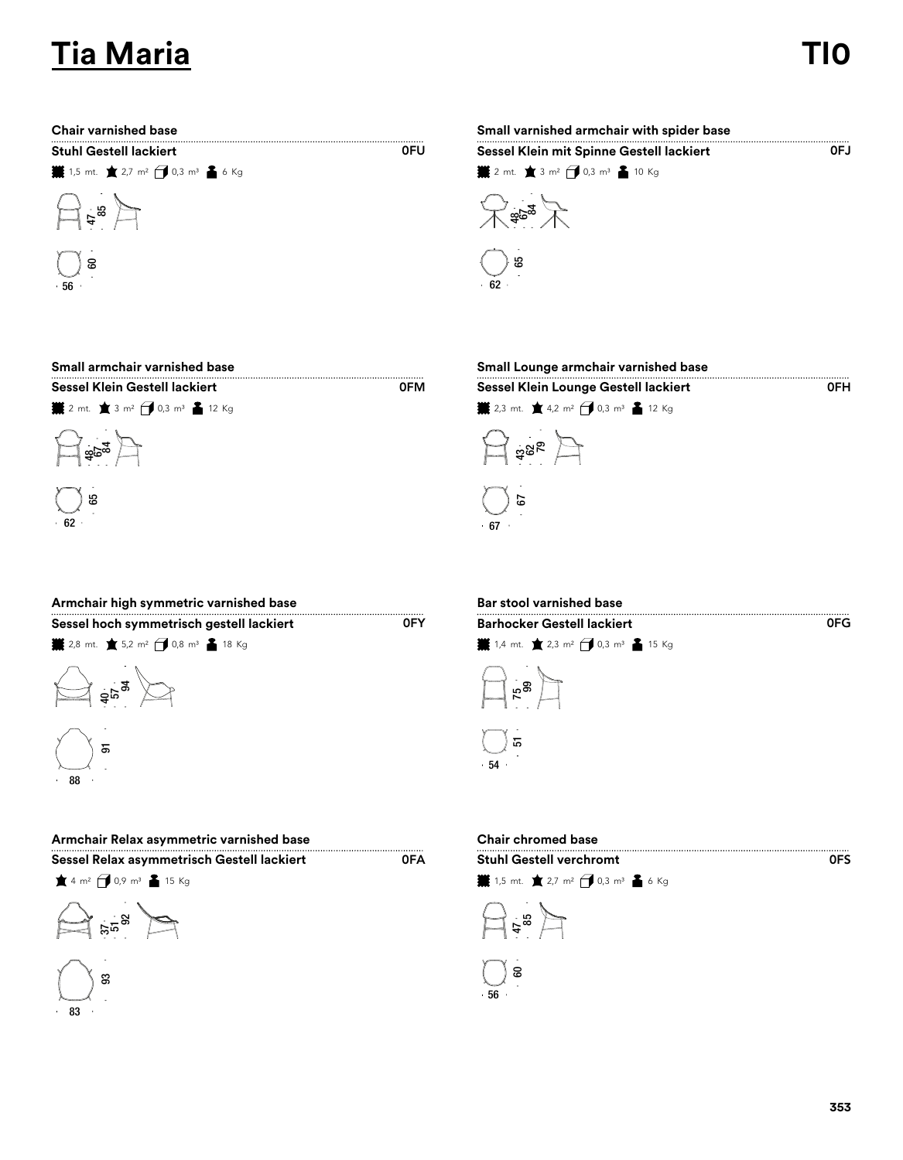# **Tia Maria TI0**

| <b>Stuhl Gestell lackiert</b> |                                                                   |  |  |  |
|-------------------------------|-------------------------------------------------------------------|--|--|--|
|                               | <b>.</b> 1,5 mt. ★ 2,7 m <sup>2</sup> → 0,3 m <sup>3</sup> ▲ 6 Kg |  |  |  |



| <b>Chair varnished base</b>                                       |     | Small varnished armchair with spider base               |      |  |
|-------------------------------------------------------------------|-----|---------------------------------------------------------|------|--|
| <b>Stuhl Gestell lackiert</b>                                     | 0FU | Sessel Klein mit Spinne Gestell lackiert                | OFJ. |  |
| <b>.</b> 1,5 mt. ★ 2,7 m <sup>2</sup> → 0,3 m <sup>3</sup> ▲ 6 Kg |     | ▓ 2 mt. ★ 3 m <sup>2</sup> → 0,3 m <sup>3</sup> ▲ 10 Kg |      |  |
| $\mathbb{Z}^{\frac{r}{2}}$                                        |     | ್ದ್ದಿಂಹ                                                 |      |  |
| ) ෂ<br>$+56$                                                      |     | සි<br>62                                                |      |  |

| Small armchair varnished base                                  |            | Small Lounge armchair varnished base                               |
|----------------------------------------------------------------|------------|--------------------------------------------------------------------|
| Sessel Klein Gestell lackiert                                  | <b>OFM</b> | Sessel Klein Lounge Gestell lackiert                               |
| <b>業</b> 2 mt. ★ 3 m <sup>2</sup> → 0,3 m <sup>3</sup> ▲ 12 Kg |            | <b>¥</b> 2,3 mt. ★ 4,2 m <sup>2</sup> → 0,3 m <sup>3</sup> ▲ 12 Kg |
| $\Xi$ and $\Box$                                               |            | $\Box$ ase $\Box$                                                  |
| ( ) ස<br>- 62                                                  |            | 67<br>.67                                                          |

| Small Lounge armchair varnished base                               |     |
|--------------------------------------------------------------------|-----|
| Sessel Klein Lounge Gestell lackiert                               | 0FH |
| <b>¥</b> 2,3 mt. ★ 4,2 m <sup>2</sup> → 0,3 m <sup>3</sup> ▲ 12 Kg |     |
| $\mathbb{H}$ as $\mathbb{H}$                                       |     |
|                                                                    |     |

| Armchair high symmetric varnished base                                    |     | <b>Bar stool varnished base</b>                                   |
|---------------------------------------------------------------------------|-----|-------------------------------------------------------------------|
| Sessel hoch symmetrisch gestell lackiert                                  | 0FY | <b>Barhocker Gestell lackiert</b>                                 |
| <b>¥</b> 2,8 mt. ★ 5,2 m <sup>2</sup> → 0,8 m <sup>3</sup> ▲ 18 Kg        |     | <b>i</b> 1,4 mt. <b>★</b> 2,3 m <sup>2</sup> → 0,3 m <sup>3</sup> |
| $\bigotimes_{\pi_{\overline{\alpha}}}\pi_{\overline{\alpha}}\ \bigotimes$ |     | $\Box$ $\mathbb{R}^{\circ}$                                       |
| $\overline{5}$                                                            |     | ) 도<br>. 54.                                                      |

| Bar stool varnished base                                           |     |
|--------------------------------------------------------------------|-----|
| <b>Barhocker Gestell lackiert</b>                                  | 0FG |
| <b>¥</b> 1,4 mt. ★ 2,3 m <sup>2</sup> → 0,3 m <sup>3</sup> ▲ 15 Kg |     |
| ∫້ຮ                                                                |     |
| 고                                                                  |     |
|                                                                    |     |

| Armchair Relax asymmetric varnished base   |     | <b>Chair chromed base</b>      |
|--------------------------------------------|-----|--------------------------------|
| Sessel Relax asymmetrisch Gestell lackiert | 0FA | <b>Stuhl Gestell verchromt</b> |

|  | <b>Propriet in the contract of the contract of the contract of the contract of the contract of the contract of the </b> |  |
|--|-------------------------------------------------------------------------------------------------------------------------|--|
|  | $\angle$ 4 m <sup>2</sup> $\bigoplus$ 0,9 m <sup>3</sup> $\triangleq$ 15 Kg                                             |  |





 $88$ 

|  | Chair chromed ba |  |
|--|------------------|--|
|  |                  |  |





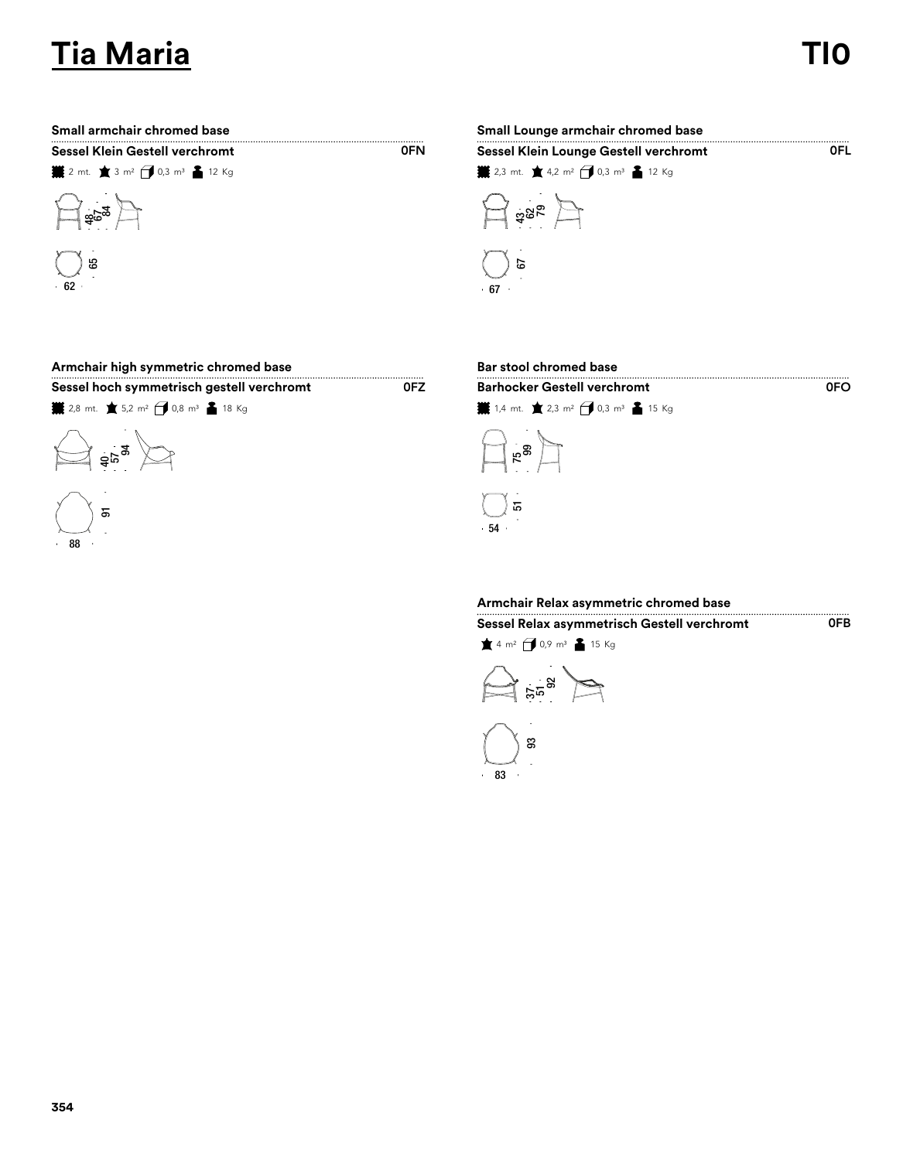# **Tia Maria TI0**

0FO

0FB

| <b>Sessel Klein Gestell verchromt</b> |  |  |
|---------------------------------------|--|--|
|                                       |  |  |



| Small armchair chromed base |                                                                      | Small Lounge armchair chromed base |  |  |
|-----------------------------|----------------------------------------------------------------------|------------------------------------|--|--|
| <b>OFN</b>                  | Sessel Klein Lounge Gestell verchromt                                | 0EL.                               |  |  |
|                             | <b>. 2</b> 2,3 mt. ★ 4,2 m <sup>2</sup> → 0,3 m <sup>3</sup> ▲ 12 Kg |                                    |  |  |
|                             | $\Box$ ase $\Box$                                                    |                                    |  |  |
|                             | 67                                                                   |                                    |  |  |
|                             |                                                                      | $+67$                              |  |  |

### **Armchair high symmetric chromed base Bar stool chromed base**

**Sessel hoch symmetrisch gestell verchromt Barhocker Gestell verchromt Barhocker Gestell verchromt** 

**¥** 2,8 mt. ★ 5,2 m<sup>2</sup> → 0,8 m<sup>3</sup> ▲ 18 Kg





0FZ



## **Armchair Relax asymmetric chromed base**





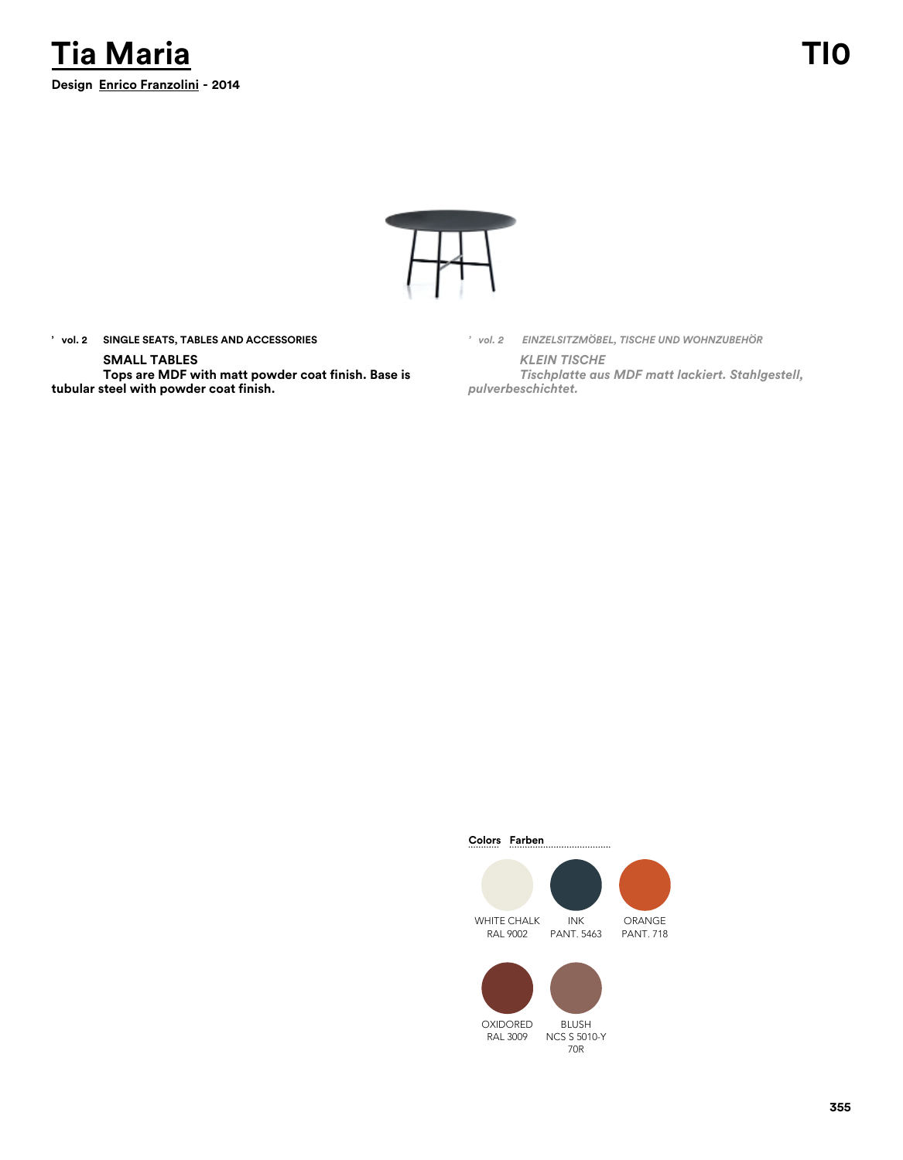



**' vol. 2 SINGLE SEATS, TABLES AND ACCESSORIES**

### **SMALL TABLES**

**Tops are MDF with matt powder coat finish. Base is tubular steel with powder coat finish.**

*' vol. 2 EINZELSITZMÖBEL, TISCHE UND WOHNZUBEHÖR KLEIN TISCHE Tischplatte aus MDF matt lackiert. Stahlgestell, pulverbeschichtet.*